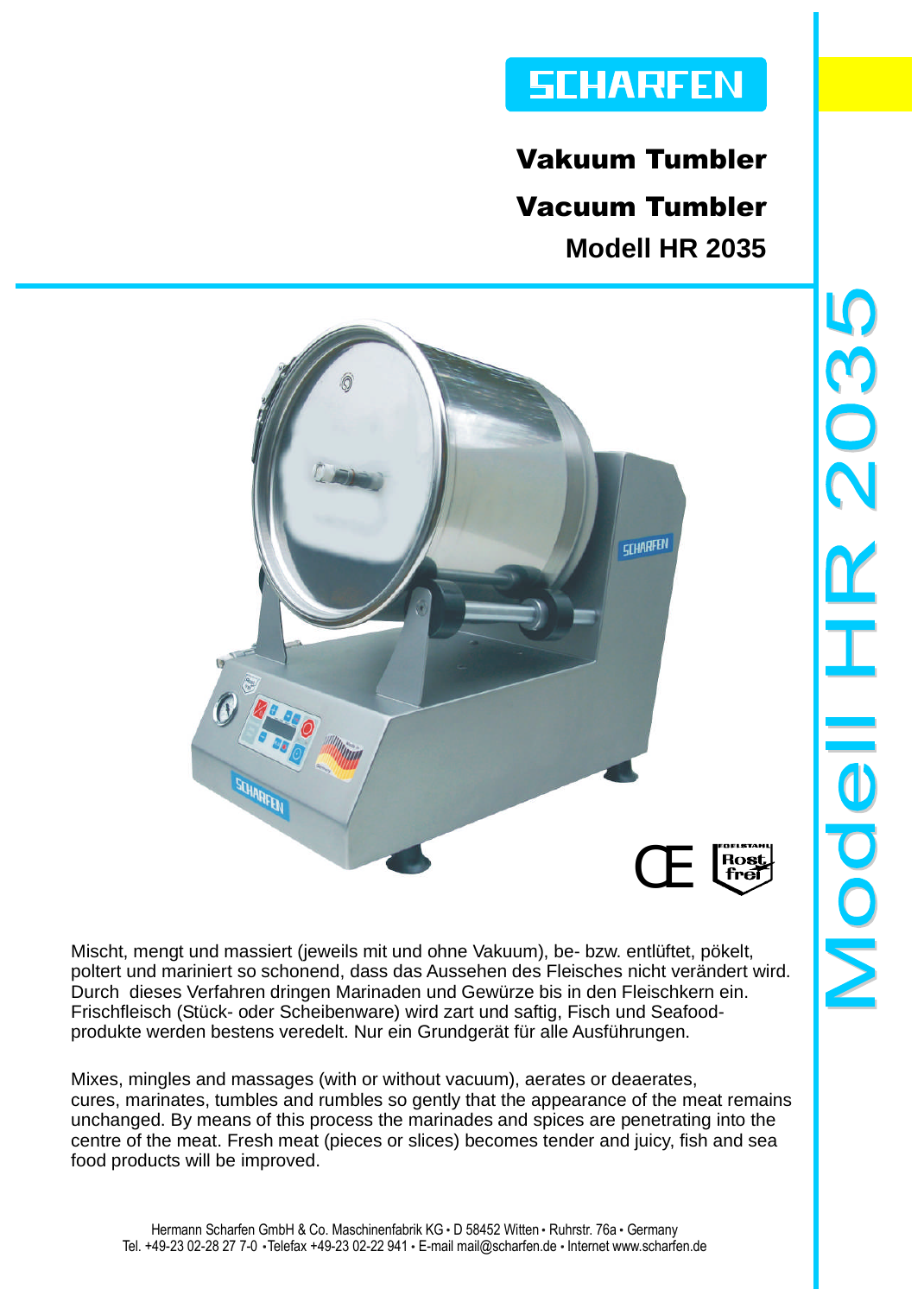# **SCHARFEN**

Vakuum Tumbler Vacuum Tumbler **Modell HR 2035**



Mischt, mengt und massiert (jeweils mit und ohne Vakuum), be- bzw. entlüftet, pökelt, poltert und mariniert so schonend, dass das Aussehen des Fleisches nicht verändert wird. Durch dieses Verfahren dringen Marinaden und Gewürze bis in den Fleischkern ein. Frischfleisch (Stück- oder Scheibenware) wird zart und saftig, Fisch und Seafoodprodukte werden bestens veredelt. Nur ein Grundgerät für alle Ausführungen.

Mixes, mingles and massages (with or without vacuum), aerates or deaerates, cures, marinates, tumbles and rumbles so gently that the appearance of the meat remains unchanged. By means of this process the marinades and spices are penetrating into the centre of the meat. Fresh meat (pieces or slices) becomes tender and juicy, fish and sea food products will be improved.